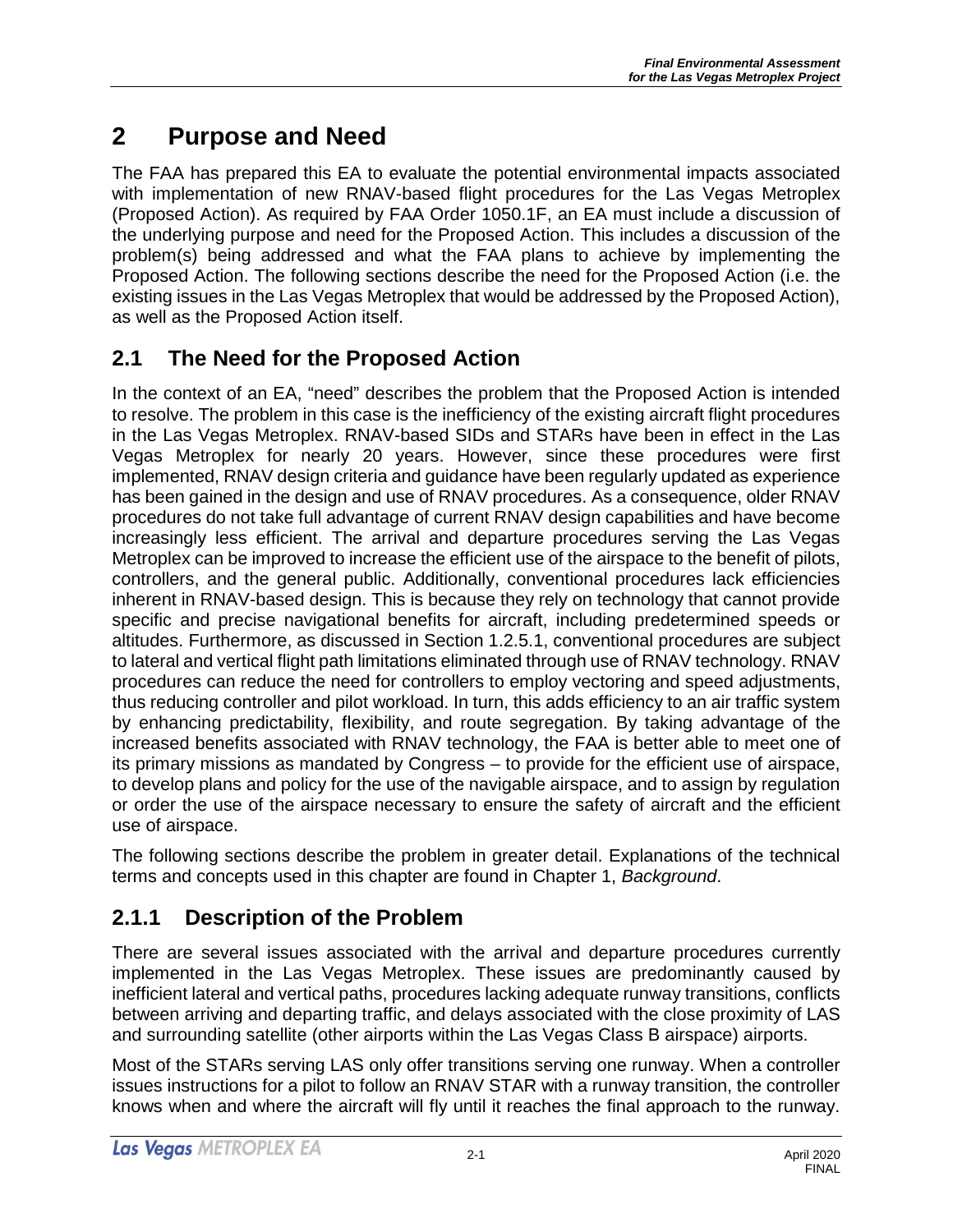# **2 Purpose and Need**

The FAA has prepared this EA to evaluate the potential environmental impacts associated with implementation of new RNAV-based flight procedures for the Las Vegas Metroplex (Proposed Action). As required by FAA Order 1050.1F, an EA must include a discussion of the underlying purpose and need for the Proposed Action. This includes a discussion of the problem(s) being addressed and what the FAA plans to achieve by implementing the Proposed Action. The following sections describe the need for the Proposed Action (i.e. the existing issues in the Las Vegas Metroplex that would be addressed by the Proposed Action), as well as the Proposed Action itself.

### **2.1 The Need for the Proposed Action**

In the context of an EA, "need" describes the problem that the Proposed Action is intended to resolve. The problem in this case is the inefficiency of the existing aircraft flight procedures in the Las Vegas Metroplex. RNAV-based SIDs and STARs have been in effect in the Las Vegas Metroplex for nearly 20 years. However, since these procedures were first implemented, RNAV design criteria and guidance have been regularly updated as experience has been gained in the design and use of RNAV procedures. As a consequence, older RNAV procedures do not take full advantage of current RNAV design capabilities and have become increasingly less efficient. The arrival and departure procedures serving the Las Vegas Metroplex can be improved to increase the efficient use of the airspace to the benefit of pilots, controllers, and the general public. Additionally, conventional procedures lack efficiencies inherent in RNAV-based design. This is because they rely on technology that cannot provide specific and precise navigational benefits for aircraft, including predetermined speeds or altitudes. Furthermore, as discussed in Section 1.2.5.1, conventional procedures are subject to lateral and vertical flight path limitations eliminated through use of RNAV technology. RNAV procedures can reduce the need for controllers to employ vectoring and speed adjustments, thus reducing controller and pilot workload. In turn, this adds efficiency to an air traffic system by enhancing predictability, flexibility, and route segregation. By taking advantage of the increased benefits associated with RNAV technology, the FAA is better able to meet one of its primary missions as mandated by Congress – to provide for the efficient use of airspace, to develop plans and policy for the use of the navigable airspace, and to assign by regulation or order the use of the airspace necessary to ensure the safety of aircraft and the efficient use of airspace.

The following sections describe the problem in greater detail. Explanations of the technical terms and concepts used in this chapter are found in Chapter 1, *Background*.

## **2.1.1 Description of the Problem**

There are several issues associated with the arrival and departure procedures currently implemented in the Las Vegas Metroplex. These issues are predominantly caused by inefficient lateral and vertical paths, procedures lacking adequate runway transitions, conflicts between arriving and departing traffic, and delays associated with the close proximity of LAS and surrounding satellite (other airports within the Las Vegas Class B airspace) airports.

Most of the STARs serving LAS only offer transitions serving one runway. When a controller issues instructions for a pilot to follow an RNAV STAR with a runway transition, the controller knows when and where the aircraft will fly until it reaches the final approach to the runway.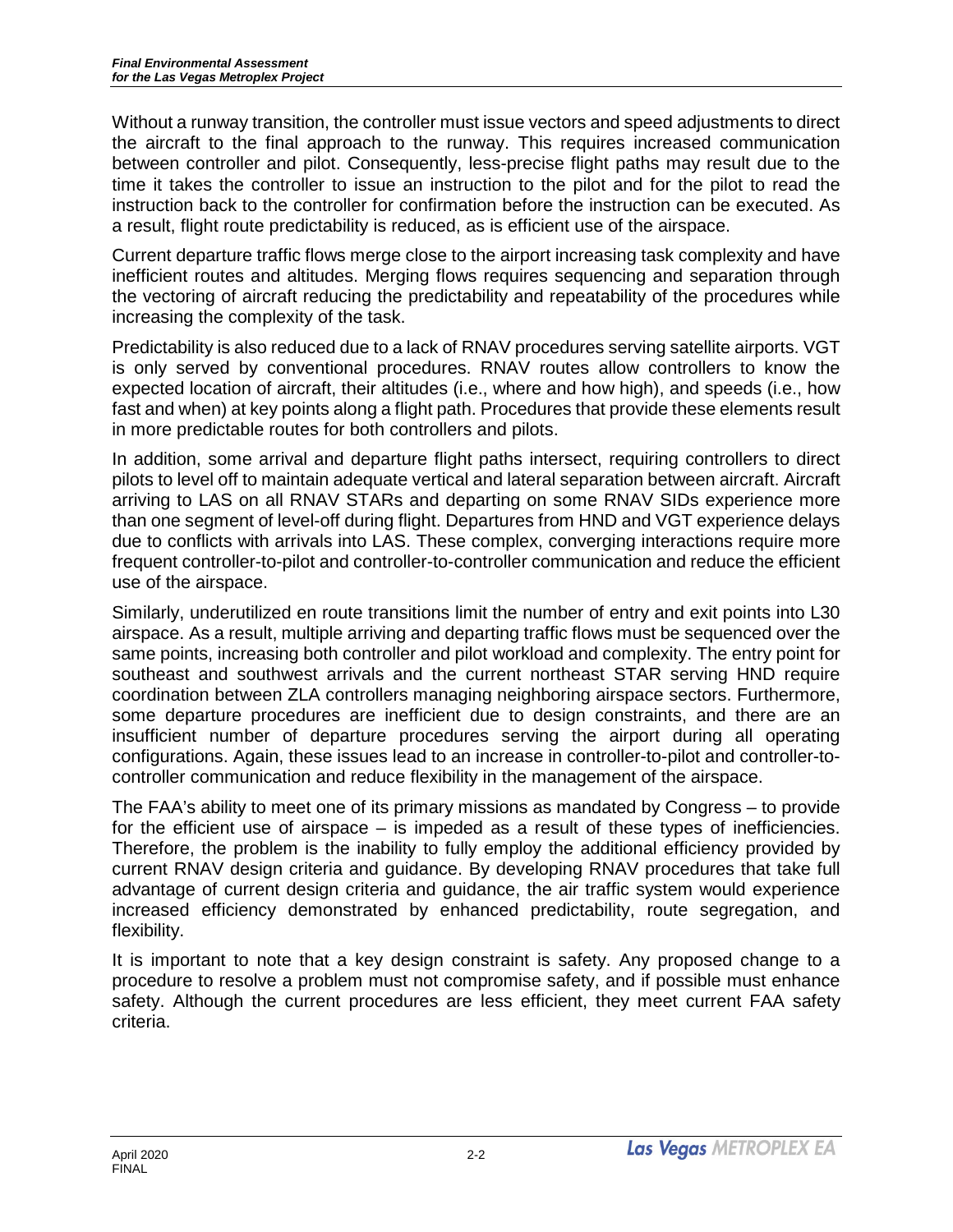Without a runway transition, the controller must issue vectors and speed adjustments to direct the aircraft to the final approach to the runway. This requires increased communication between controller and pilot. Consequently, less-precise flight paths may result due to the time it takes the controller to issue an instruction to the pilot and for the pilot to read the instruction back to the controller for confirmation before the instruction can be executed. As a result, flight route predictability is reduced, as is efficient use of the airspace.

Current departure traffic flows merge close to the airport increasing task complexity and have inefficient routes and altitudes. Merging flows requires sequencing and separation through the vectoring of aircraft reducing the predictability and repeatability of the procedures while increasing the complexity of the task.

Predictability is also reduced due to a lack of RNAV procedures serving satellite airports. VGT is only served by conventional procedures. RNAV routes allow controllers to know the expected location of aircraft, their altitudes (i.e., where and how high), and speeds (i.e., how fast and when) at key points along a flight path. Procedures that provide these elements result in more predictable routes for both controllers and pilots.

In addition, some arrival and departure flight paths intersect, requiring controllers to direct pilots to level off to maintain adequate vertical and lateral separation between aircraft. Aircraft arriving to LAS on all RNAV STARs and departing on some RNAV SIDs experience more than one segment of level-off during flight. Departures from HND and VGT experience delays due to conflicts with arrivals into LAS. These complex, converging interactions require more frequent controller-to-pilot and controller-to-controller communication and reduce the efficient use of the airspace.

Similarly, underutilized en route transitions limit the number of entry and exit points into L30 airspace. As a result, multiple arriving and departing traffic flows must be sequenced over the same points, increasing both controller and pilot workload and complexity. The entry point for southeast and southwest arrivals and the current northeast STAR serving HND require coordination between ZLA controllers managing neighboring airspace sectors. Furthermore, some departure procedures are inefficient due to design constraints, and there are an insufficient number of departure procedures serving the airport during all operating configurations. Again, these issues lead to an increase in controller-to-pilot and controller-tocontroller communication and reduce flexibility in the management of the airspace.

The FAA's ability to meet one of its primary missions as mandated by Congress – to provide for the efficient use of airspace – is impeded as a result of these types of inefficiencies. Therefore, the problem is the inability to fully employ the additional efficiency provided by current RNAV design criteria and guidance. By developing RNAV procedures that take full advantage of current design criteria and guidance, the air traffic system would experience increased efficiency demonstrated by enhanced predictability, route segregation, and flexibility.

It is important to note that a key design constraint is safety. Any proposed change to a procedure to resolve a problem must not compromise safety, and if possible must enhance safety. Although the current procedures are less efficient, they meet current FAA safety criteria.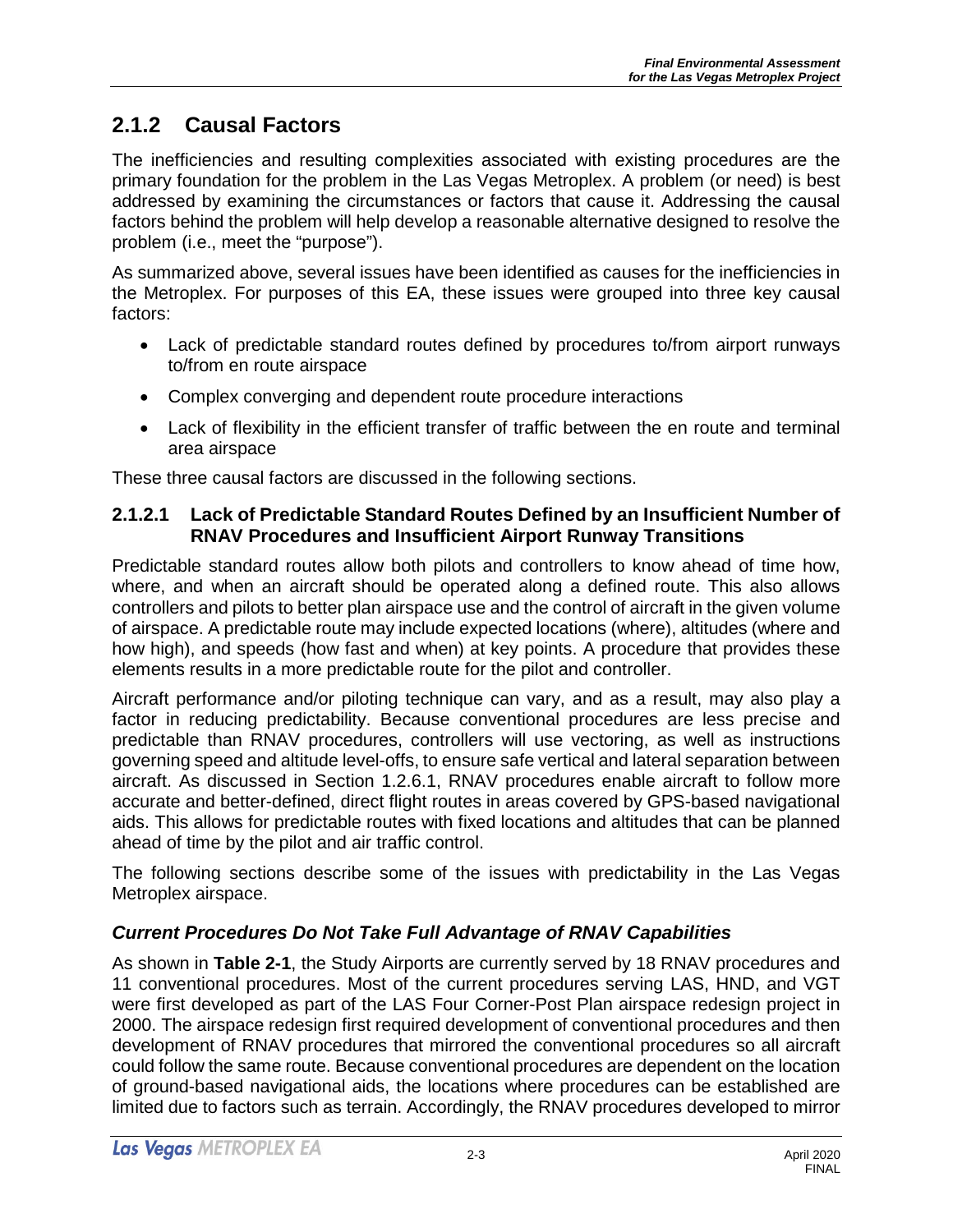### **2.1.2 Causal Factors**

The inefficiencies and resulting complexities associated with existing procedures are the primary foundation for the problem in the Las Vegas Metroplex. A problem (or need) is best addressed by examining the circumstances or factors that cause it. Addressing the causal factors behind the problem will help develop a reasonable alternative designed to resolve the problem (i.e., meet the "purpose").

As summarized above, several issues have been identified as causes for the inefficiencies in the Metroplex. For purposes of this EA, these issues were grouped into three key causal factors:

- Lack of predictable standard routes defined by procedures to/from airport runways to/from en route airspace
- Complex converging and dependent route procedure interactions
- Lack of flexibility in the efficient transfer of traffic between the en route and terminal area airspace

These three causal factors are discussed in the following sections.

#### **2.1.2.1 Lack of Predictable Standard Routes Defined by an Insufficient Number of RNAV Procedures and Insufficient Airport Runway Transitions**

Predictable standard routes allow both pilots and controllers to know ahead of time how, where, and when an aircraft should be operated along a defined route. This also allows controllers and pilots to better plan airspace use and the control of aircraft in the given volume of airspace. A predictable route may include expected locations (where), altitudes (where and how high), and speeds (how fast and when) at key points. A procedure that provides these elements results in a more predictable route for the pilot and controller.

Aircraft performance and/or piloting technique can vary, and as a result, may also play a factor in reducing predictability. Because conventional procedures are less precise and predictable than RNAV procedures, controllers will use vectoring, as well as instructions governing speed and altitude level-offs, to ensure safe vertical and lateral separation between aircraft. As discussed in Section 1.2.6.1, RNAV procedures enable aircraft to follow more accurate and better-defined, direct flight routes in areas covered by GPS-based navigational aids. This allows for predictable routes with fixed locations and altitudes that can be planned ahead of time by the pilot and air traffic control.

The following sections describe some of the issues with predictability in the Las Vegas Metroplex airspace.

### *Current Procedures Do Not Take Full Advantage of RNAV Capabilities*

As shown in **Table 2-1**, the Study Airports are currently served by 18 RNAV procedures and 11 conventional procedures. Most of the current procedures serving LAS, HND, and VGT were first developed as part of the LAS Four Corner-Post Plan airspace redesign project in 2000. The airspace redesign first required development of conventional procedures and then development of RNAV procedures that mirrored the conventional procedures so all aircraft could follow the same route. Because conventional procedures are dependent on the location of ground-based navigational aids, the locations where procedures can be established are limited due to factors such as terrain. Accordingly, the RNAV procedures developed to mirror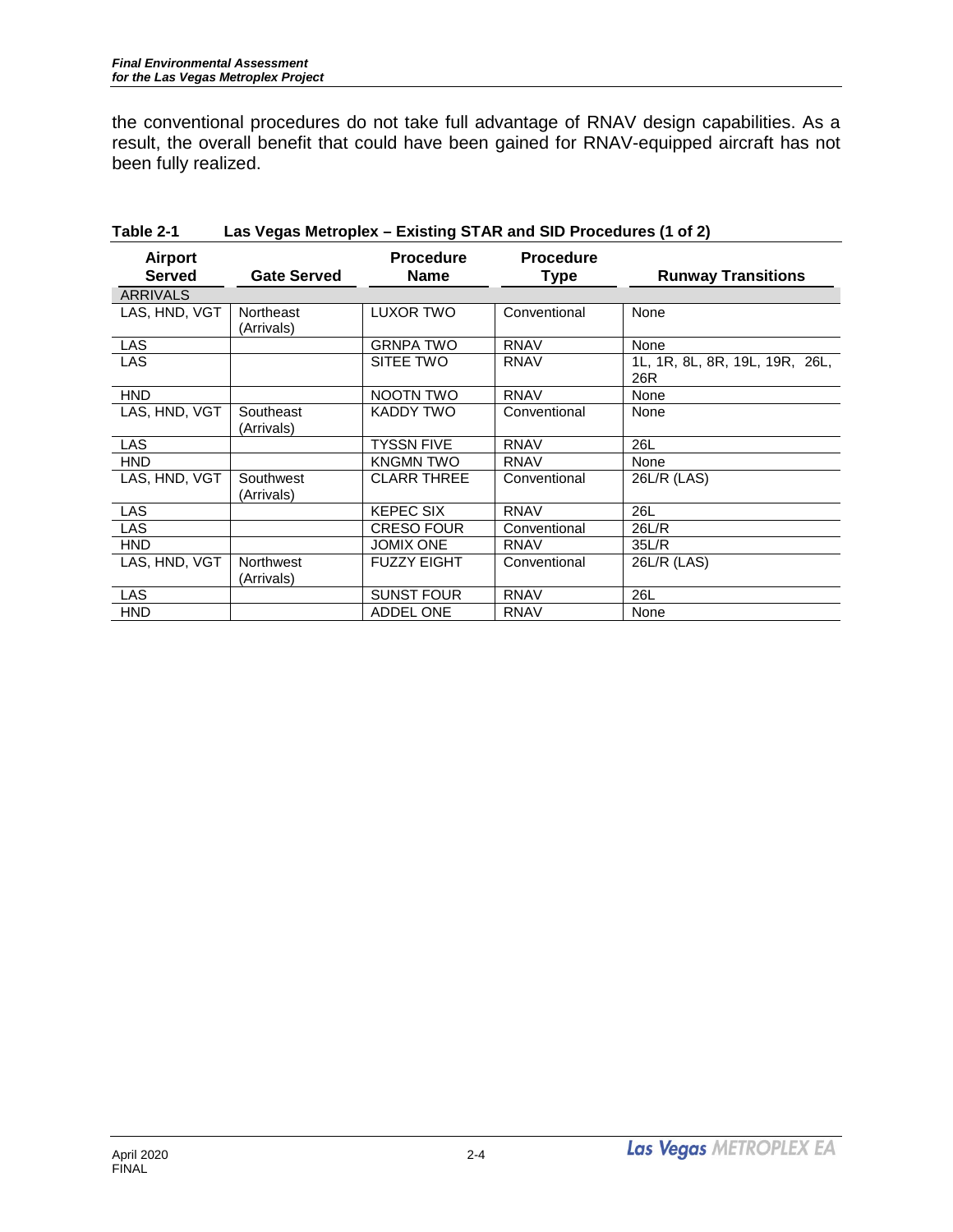the conventional procedures do not take full advantage of RNAV design capabilities. As a result, the overall benefit that could have been gained for RNAV-equipped aircraft has not been fully realized.

| <b>Airport</b><br><b>Served</b> | <b>Gate Served</b>      | <b>Procedure</b><br><b>Name</b> | <b>Procedure</b><br><b>Type</b> | <b>Runway Transitions</b>             |
|---------------------------------|-------------------------|---------------------------------|---------------------------------|---------------------------------------|
| <b>ARRIVALS</b>                 |                         |                                 |                                 |                                       |
| LAS, HND, VGT                   | Northeast<br>(Arrivals) | LUXOR TWO                       | Conventional                    | None                                  |
| LAS                             |                         | <b>GRNPA TWO</b>                | <b>RNAV</b>                     | None                                  |
| <b>LAS</b>                      |                         | SITEE TWO                       | <b>RNAV</b>                     | 1L, 1R, 8L, 8R, 19L, 19R, 26L,<br>26R |
| <b>HND</b>                      |                         | NOOTN TWO                       | <b>RNAV</b>                     | None                                  |
| LAS, HND, VGT                   | Southeast<br>(Arrivals) | KADDY TWO                       | Conventional                    | None                                  |
| LAS                             |                         | <b>TYSSN FIVE</b>               | <b>RNAV</b>                     | 26L                                   |
| <b>HND</b>                      |                         | <b>KNGMN TWO</b>                | <b>RNAV</b>                     | None                                  |
| LAS, HND, VGT                   | Southwest<br>(Arrivals) | <b>CLARR THREE</b>              | Conventional                    | 26L/R (LAS)                           |
| <b>LAS</b>                      |                         | <b>KEPEC SIX</b>                | <b>RNAV</b>                     | 26L                                   |
| LAS                             |                         | <b>CRESO FOUR</b>               | Conventional                    | 26L/R                                 |
| <b>HND</b>                      |                         | <b>JOMIX ONE</b>                | <b>RNAV</b>                     | 35L/R                                 |
| LAS, HND, VGT                   | Northwest<br>(Arrivals) | <b>FUZZY EIGHT</b>              | Conventional                    | 26L/R (LAS)                           |
| LAS                             |                         | <b>SUNST FOUR</b>               | <b>RNAV</b>                     | 26L                                   |
| <b>HND</b>                      |                         | <b>ADDEL ONE</b>                | <b>RNAV</b>                     | None                                  |

| Table 2-1 | Las Vegas Metroplex - Existing STAR and SID Procedures (1 of 2) |
|-----------|-----------------------------------------------------------------|
|           |                                                                 |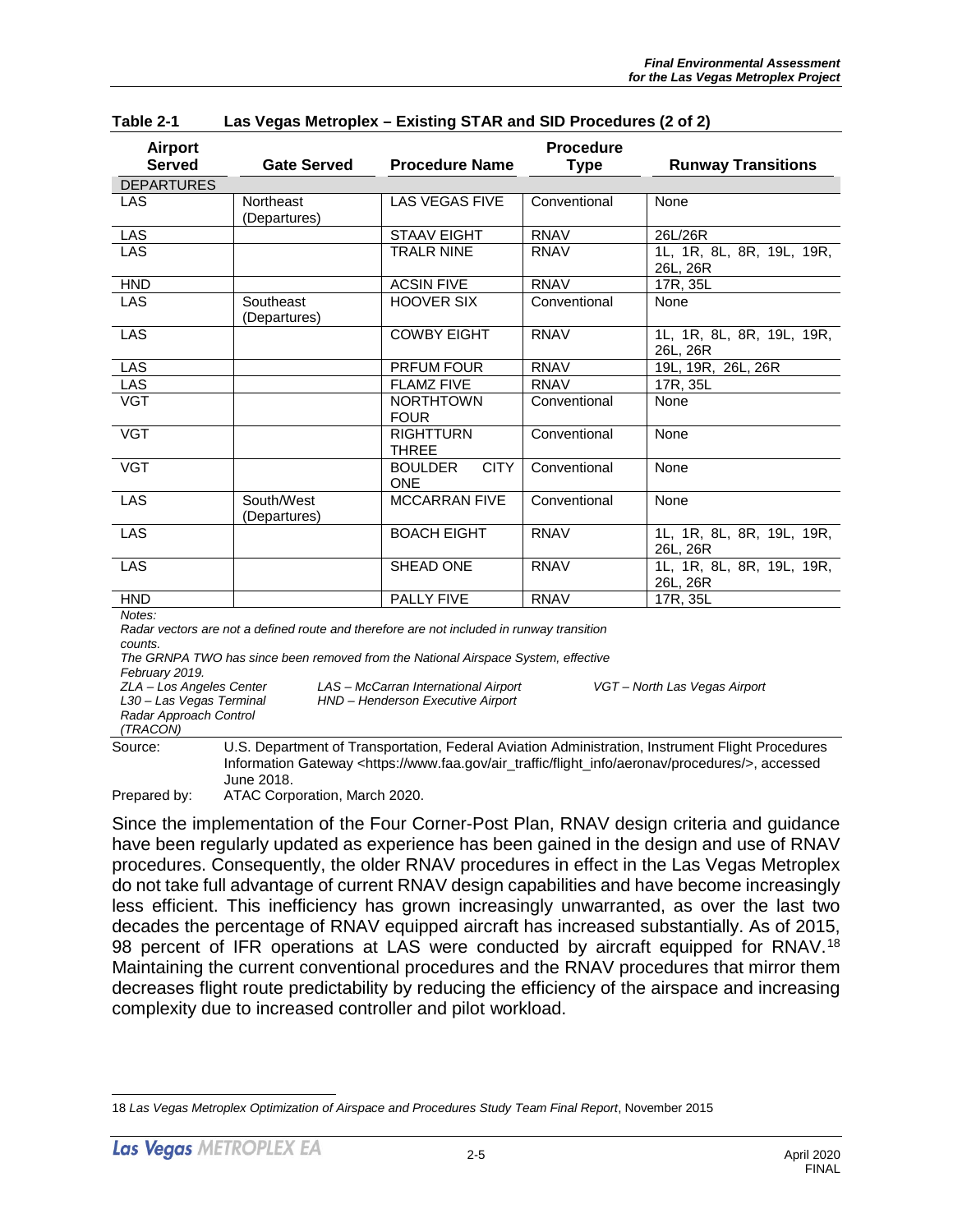| <b>Airport</b><br><b>Served</b>                                 | <b>Gate Served</b>         | <b>Procedure Name</b>                                                                                                                                                                                                  | <b>Procedure</b><br><b>Type</b> | <b>Runway Transitions</b>             |
|-----------------------------------------------------------------|----------------------------|------------------------------------------------------------------------------------------------------------------------------------------------------------------------------------------------------------------------|---------------------------------|---------------------------------------|
| <b>DEPARTURES</b>                                               |                            |                                                                                                                                                                                                                        |                                 |                                       |
| LAS                                                             | Northeast<br>(Departures)  | LAS VEGAS FIVE                                                                                                                                                                                                         | Conventional                    | None                                  |
| LAS                                                             |                            | <b>STAAV EIGHT</b>                                                                                                                                                                                                     | <b>RNAV</b>                     | 26L/26R                               |
| <b>LAS</b>                                                      |                            | <b>TRALR NINE</b>                                                                                                                                                                                                      | <b>RNAV</b>                     | 1L, 1R, 8L, 8R, 19L, 19R,<br>26L, 26R |
| <b>HND</b>                                                      |                            | <b>ACSIN FIVE</b>                                                                                                                                                                                                      | <b>RNAV</b>                     | 17R, 35L                              |
| <b>LAS</b>                                                      | Southeast<br>(Departures)  | <b>HOOVER SIX</b>                                                                                                                                                                                                      | Conventional                    | None                                  |
| LAS                                                             |                            | <b>COWBY EIGHT</b>                                                                                                                                                                                                     | <b>RNAV</b>                     | 1L, 1R, 8L, 8R, 19L, 19R,<br>26L, 26R |
| <b>LAS</b>                                                      |                            | <b>PRFUM FOUR</b>                                                                                                                                                                                                      | <b>RNAV</b>                     | 19L, 19R, 26L, 26R                    |
| $rac{\overline{LAS}}{\overline{VGT}}$                           |                            | <b>FLAMZ FIVE</b>                                                                                                                                                                                                      | <b>RNAV</b>                     | 17R, 35L                              |
|                                                                 |                            | <b>NORTHTOWN</b><br><b>FOUR</b>                                                                                                                                                                                        | Conventional                    | None                                  |
| <b>VGT</b>                                                      |                            | <b>RIGHTTURN</b><br><b>THREE</b>                                                                                                                                                                                       | Conventional                    | None                                  |
| <b>VGT</b>                                                      |                            | <b>BOULDER</b><br><b>CITY</b><br><b>ONE</b>                                                                                                                                                                            | Conventional                    | None                                  |
| LAS                                                             | South/West<br>(Departures) | <b>MCCARRAN FIVE</b>                                                                                                                                                                                                   | Conventional                    | None                                  |
| LAS                                                             |                            | <b>BOACH EIGHT</b>                                                                                                                                                                                                     | <b>RNAV</b>                     | 1L, 1R, 8L, 8R, 19L, 19R,<br>26L, 26R |
| <b>LAS</b>                                                      |                            | SHEAD ONE                                                                                                                                                                                                              | <b>RNAV</b>                     | 1L, 1R, 8L, 8R, 19L, 19R,<br>26L, 26R |
| <b>HND</b>                                                      |                            | <b>PALLY FIVE</b>                                                                                                                                                                                                      | <b>RNAV</b>                     | 17R, 35L                              |
| Notes:<br>counts.<br>February 2019.<br>ZLA - Los Angeles Center |                            | Radar vectors are not a defined route and therefore are not included in runway transition<br>The GRNPA TWO has since been removed from the National Airspace System, effective<br>LAS - McCarran International Airport |                                 | VGT-North Las Vegas Airport           |

| Table 2-1 | Las Vegas Metroplex - Existing STAR and SID Procedures (2 of 2) |  |
|-----------|-----------------------------------------------------------------|--|
|           |                                                                 |  |

*L30 – Las Vegas Terminal HND – Henderson Executive Airport* 

*Radar Approach Control* 

Source: U.S. Department of Transportation, Federal Aviation Administration, Instrument Flight Procedures Information Gateway <https://www.faa.gov/air\_traffic/flight\_info/aeronav/procedures/>, accessed June 2018.

Prepared by: ATAC Corporation, March 2020.

Since the implementation of the Four Corner-Post Plan, RNAV design criteria and guidance have been regularly updated as experience has been gained in the design and use of RNAV procedures. Consequently, the older RNAV procedures in effect in the Las Vegas Metroplex do not take full advantage of current RNAV design capabilities and have become increasingly less efficient. This inefficiency has grown increasingly unwarranted, as over the last two decades the percentage of RNAV equipped aircraft has increased substantially. As of 2015, 98 percent of IFR operations at LAS were conducted by aircraft equipped for RNAV.<sup>[18](#page-4-0)</sup> Maintaining the current conventional procedures and the RNAV procedures that mirror them decreases flight route predictability by reducing the efficiency of the airspace and increasing complexity due to increased controller and pilot workload.

*<sup>(</sup>TRACON)*

<span id="page-4-0"></span> $\overline{a}$ 18 *Las Vegas Metroplex Optimization of Airspace and Procedures Study Team Final Report*, November 2015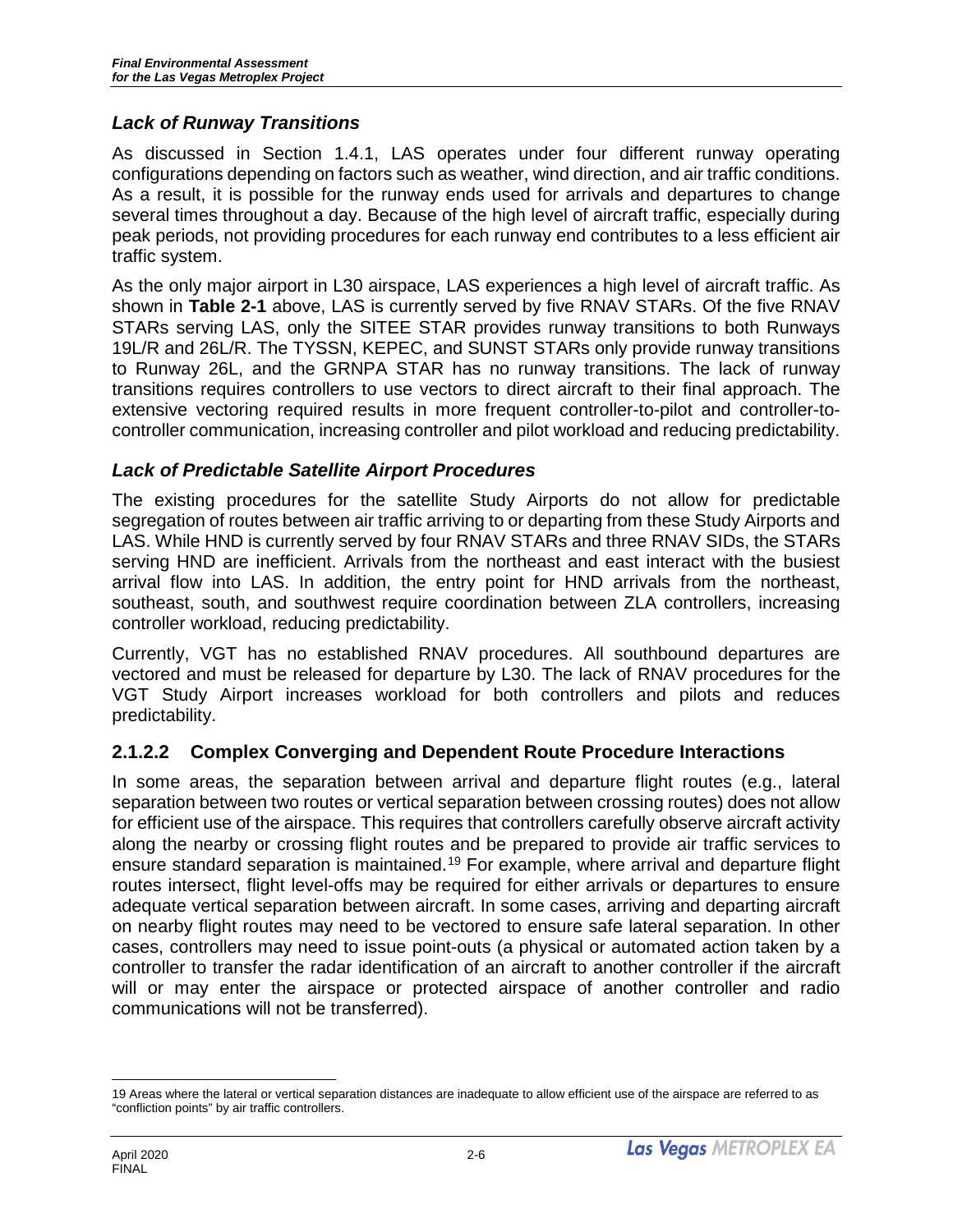#### *Lack of Runway Transitions*

As discussed in Section 1.4.1, LAS operates under four different runway operating configurations depending on factors such as weather, wind direction, and air traffic conditions. As a result, it is possible for the runway ends used for arrivals and departures to change several times throughout a day. Because of the high level of aircraft traffic, especially during peak periods, not providing procedures for each runway end contributes to a less efficient air traffic system.

As the only major airport in L30 airspace, LAS experiences a high level of aircraft traffic. As shown in **Table 2-1** above, LAS is currently served by five RNAV STARs. Of the five RNAV STARs serving LAS, only the SITEE STAR provides runway transitions to both Runways 19L/R and 26L/R. The TYSSN, KEPEC, and SUNST STARs only provide runway transitions to Runway 26L, and the GRNPA STAR has no runway transitions. The lack of runway transitions requires controllers to use vectors to direct aircraft to their final approach. The extensive vectoring required results in more frequent controller-to-pilot and controller-tocontroller communication, increasing controller and pilot workload and reducing predictability.

#### *Lack of Predictable Satellite Airport Procedures*

The existing procedures for the satellite Study Airports do not allow for predictable segregation of routes between air traffic arriving to or departing from these Study Airports and LAS. While HND is currently served by four RNAV STARs and three RNAV SIDs, the STARs serving HND are inefficient. Arrivals from the northeast and east interact with the busiest arrival flow into LAS. In addition, the entry point for HND arrivals from the northeast, southeast, south, and southwest require coordination between ZLA controllers, increasing controller workload, reducing predictability.

Currently, VGT has no established RNAV procedures. All southbound departures are vectored and must be released for departure by L30. The lack of RNAV procedures for the VGT Study Airport increases workload for both controllers and pilots and reduces predictability.

#### **2.1.2.2 Complex Converging and Dependent Route Procedure Interactions**

In some areas, the separation between arrival and departure flight routes (e.g., lateral separation between two routes or vertical separation between crossing routes) does not allow for efficient use of the airspace. This requires that controllers carefully observe aircraft activity along the nearby or crossing flight routes and be prepared to provide air traffic services to ensure standard separation is maintained.<sup>[19](#page-5-0)</sup> For example, where arrival and departure flight routes intersect, flight level-offs may be required for either arrivals or departures to ensure adequate vertical separation between aircraft. In some cases, arriving and departing aircraft on nearby flight routes may need to be vectored to ensure safe lateral separation. In other cases, controllers may need to issue point-outs (a physical or automated action taken by a controller to transfer the radar identification of an aircraft to another controller if the aircraft will or may enter the airspace or protected airspace of another controller and radio communications will not be transferred).

<span id="page-5-0"></span> $\overline{a}$ 19 Areas where the lateral or vertical separation distances are inadequate to allow efficient use of the airspace are referred to as "confliction points" by air traffic controllers.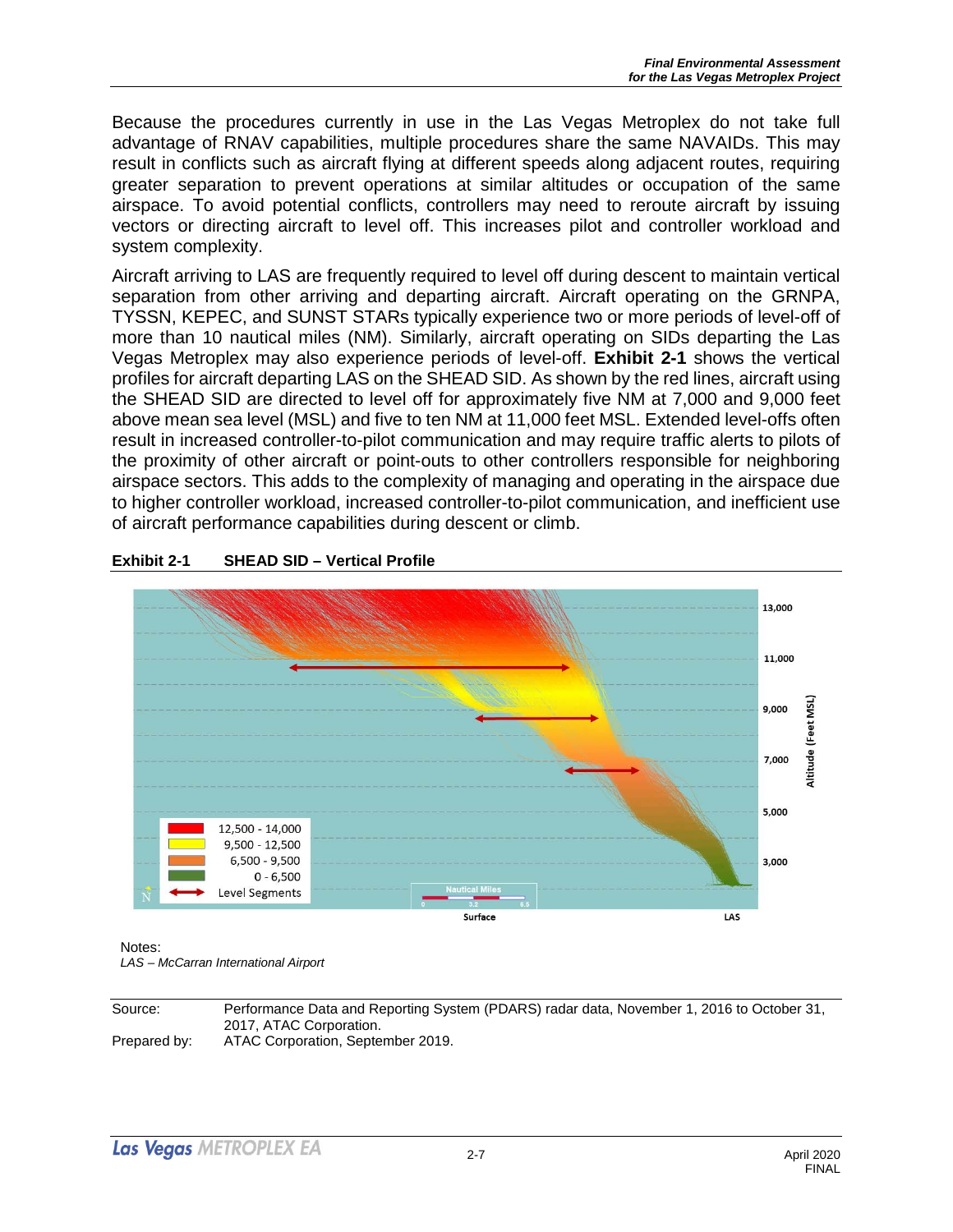Because the procedures currently in use in the Las Vegas Metroplex do not take full advantage of RNAV capabilities, multiple procedures share the same NAVAIDs. This may result in conflicts such as aircraft flying at different speeds along adjacent routes, requiring greater separation to prevent operations at similar altitudes or occupation of the same airspace. To avoid potential conflicts, controllers may need to reroute aircraft by issuing vectors or directing aircraft to level off. This increases pilot and controller workload and system complexity.

Aircraft arriving to LAS are frequently required to level off during descent to maintain vertical separation from other arriving and departing aircraft. Aircraft operating on the GRNPA, TYSSN, KEPEC, and SUNST STARs typically experience two or more periods of level-off of more than 10 nautical miles (NM). Similarly, aircraft operating on SIDs departing the Las Vegas Metroplex may also experience periods of level-off. **Exhibit 2-1** shows the vertical profiles for aircraft departing LAS on the SHEAD SID. As shown by the red lines, aircraft using the SHEAD SID are directed to level off for approximately five NM at 7,000 and 9,000 feet above mean sea level (MSL) and five to ten NM at 11,000 feet MSL. Extended level-offs often result in increased controller-to-pilot communication and may require traffic alerts to pilots of the proximity of other aircraft or point-outs to other controllers responsible for neighboring airspace sectors. This adds to the complexity of managing and operating in the airspace due to higher controller workload, increased controller-to-pilot communication, and inefficient use of aircraft performance capabilities during descent or climb.



#### **Exhibit 2-1 SHEAD SID – Vertical Profile**

Notes: *LAS – McCarran International Airport*

Source: Performance Data and Reporting System (PDARS) radar data, November 1, 2016 to October 31, 2017, ATAC Corporation. Prepared by: ATAC Corporation, September 2019.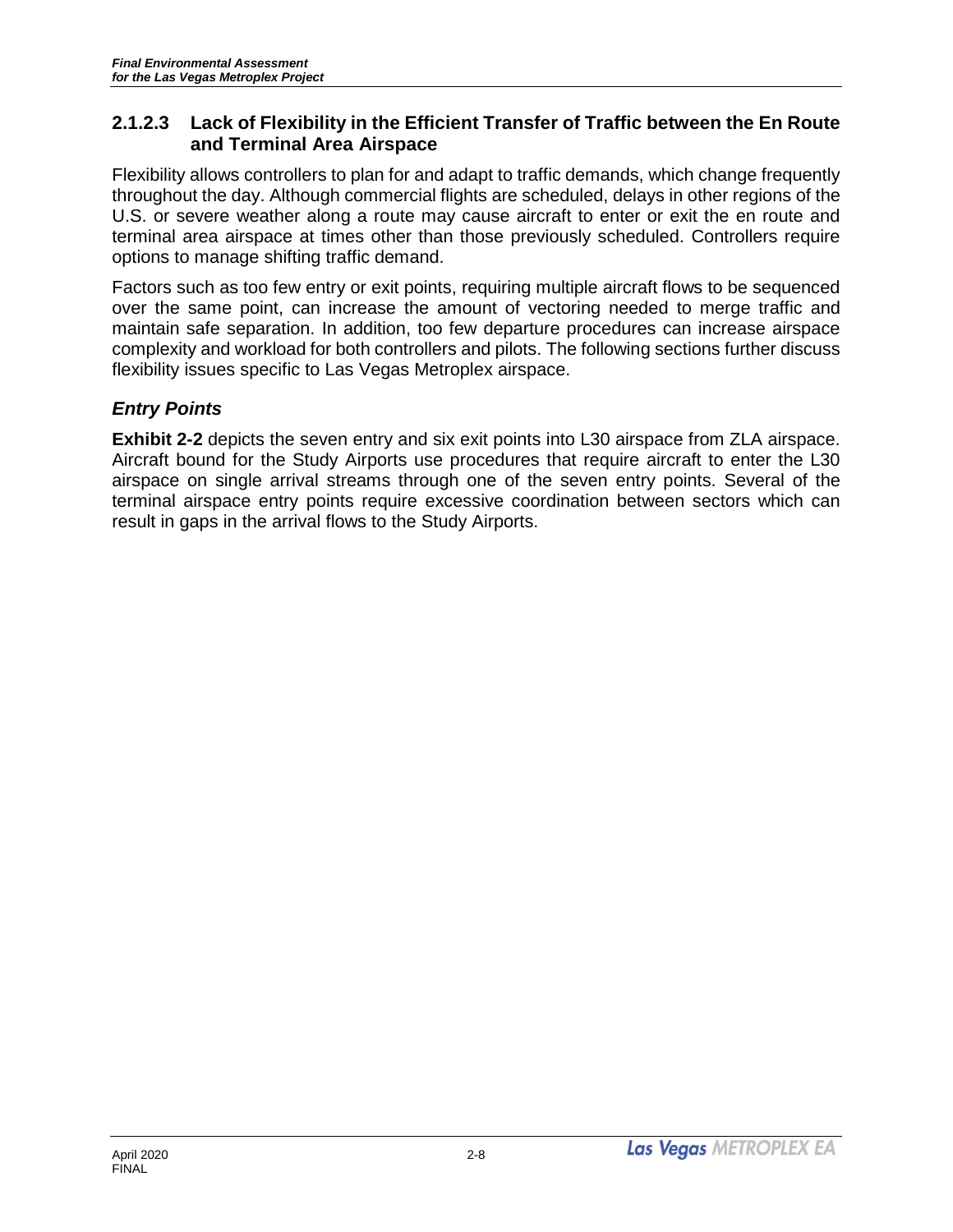#### **2.1.2.3 Lack of Flexibility in the Efficient Transfer of Traffic between the En Route and Terminal Area Airspace**

Flexibility allows controllers to plan for and adapt to traffic demands, which change frequently throughout the day. Although commercial flights are scheduled, delays in other regions of the U.S. or severe weather along a route may cause aircraft to enter or exit the en route and terminal area airspace at times other than those previously scheduled. Controllers require options to manage shifting traffic demand.

Factors such as too few entry or exit points, requiring multiple aircraft flows to be sequenced over the same point, can increase the amount of vectoring needed to merge traffic and maintain safe separation. In addition, too few departure procedures can increase airspace complexity and workload for both controllers and pilots. The following sections further discuss flexibility issues specific to Las Vegas Metroplex airspace.

### *Entry Points*

**Exhibit 2-2** depicts the seven entry and six exit points into L30 airspace from ZLA airspace. Aircraft bound for the Study Airports use procedures that require aircraft to enter the L30 airspace on single arrival streams through one of the seven entry points. Several of the terminal airspace entry points require excessive coordination between sectors which can result in gaps in the arrival flows to the Study Airports.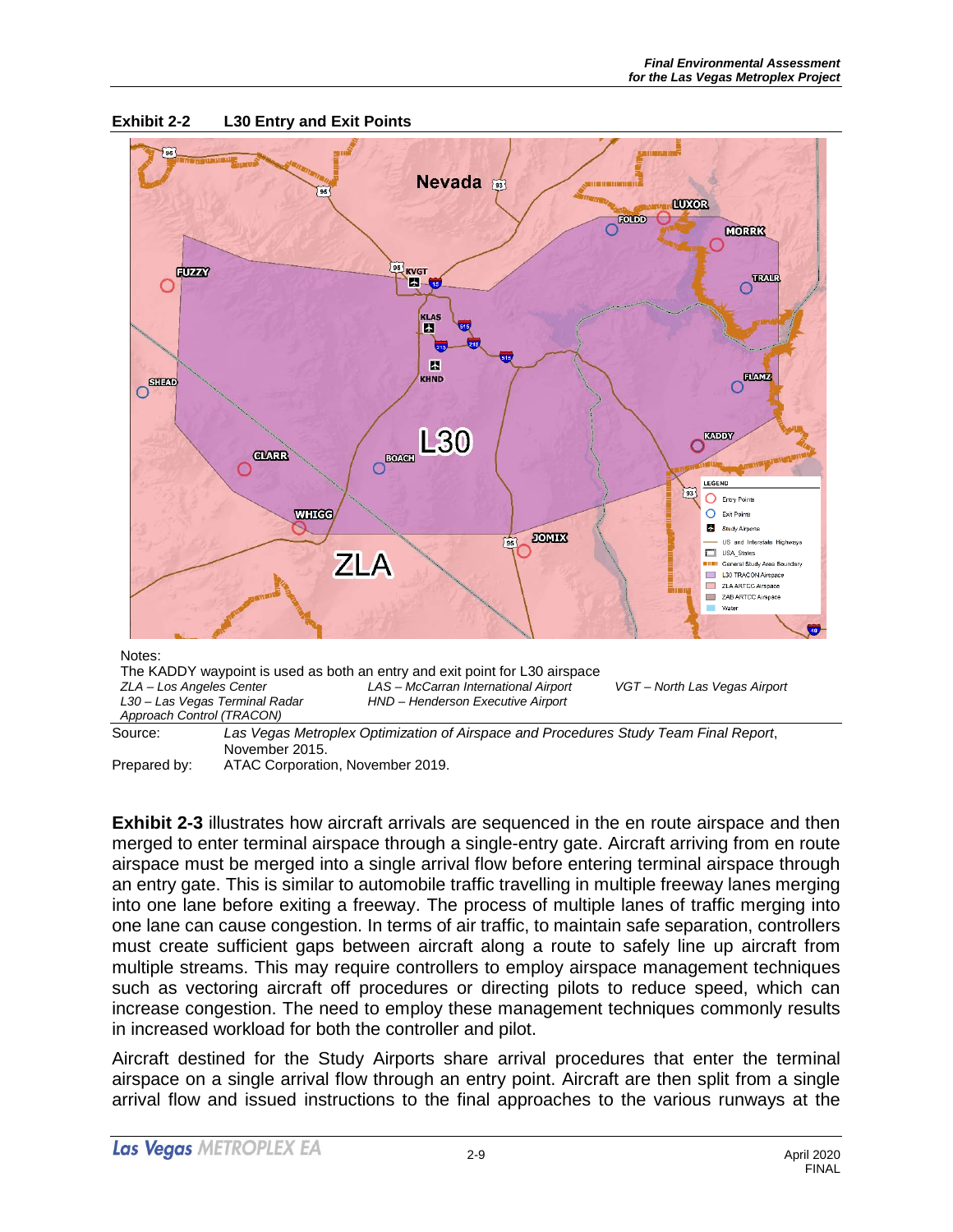

**Exhibit 2-2 L30 Entry and Exit Points** 

Source: *Las Vegas Metroplex Optimization of Airspace and Procedures Study Team Final Report*, November 2015. Prepared by: ATAC Corporation, November 2019.

**Exhibit 2-3** illustrates how aircraft arrivals are sequenced in the en route airspace and then merged to enter terminal airspace through a single-entry gate. Aircraft arriving from en route airspace must be merged into a single arrival flow before entering terminal airspace through an entry gate. This is similar to automobile traffic travelling in multiple freeway lanes merging into one lane before exiting a freeway. The process of multiple lanes of traffic merging into one lane can cause congestion. In terms of air traffic, to maintain safe separation, controllers must create sufficient gaps between aircraft along a route to safely line up aircraft from multiple streams. This may require controllers to employ airspace management techniques such as vectoring aircraft off procedures or directing pilots to reduce speed, which can increase congestion. The need to employ these management techniques commonly results in increased workload for both the controller and pilot.

Aircraft destined for the Study Airports share arrival procedures that enter the terminal airspace on a single arrival flow through an entry point. Aircraft are then split from a single arrival flow and issued instructions to the final approaches to the various runways at the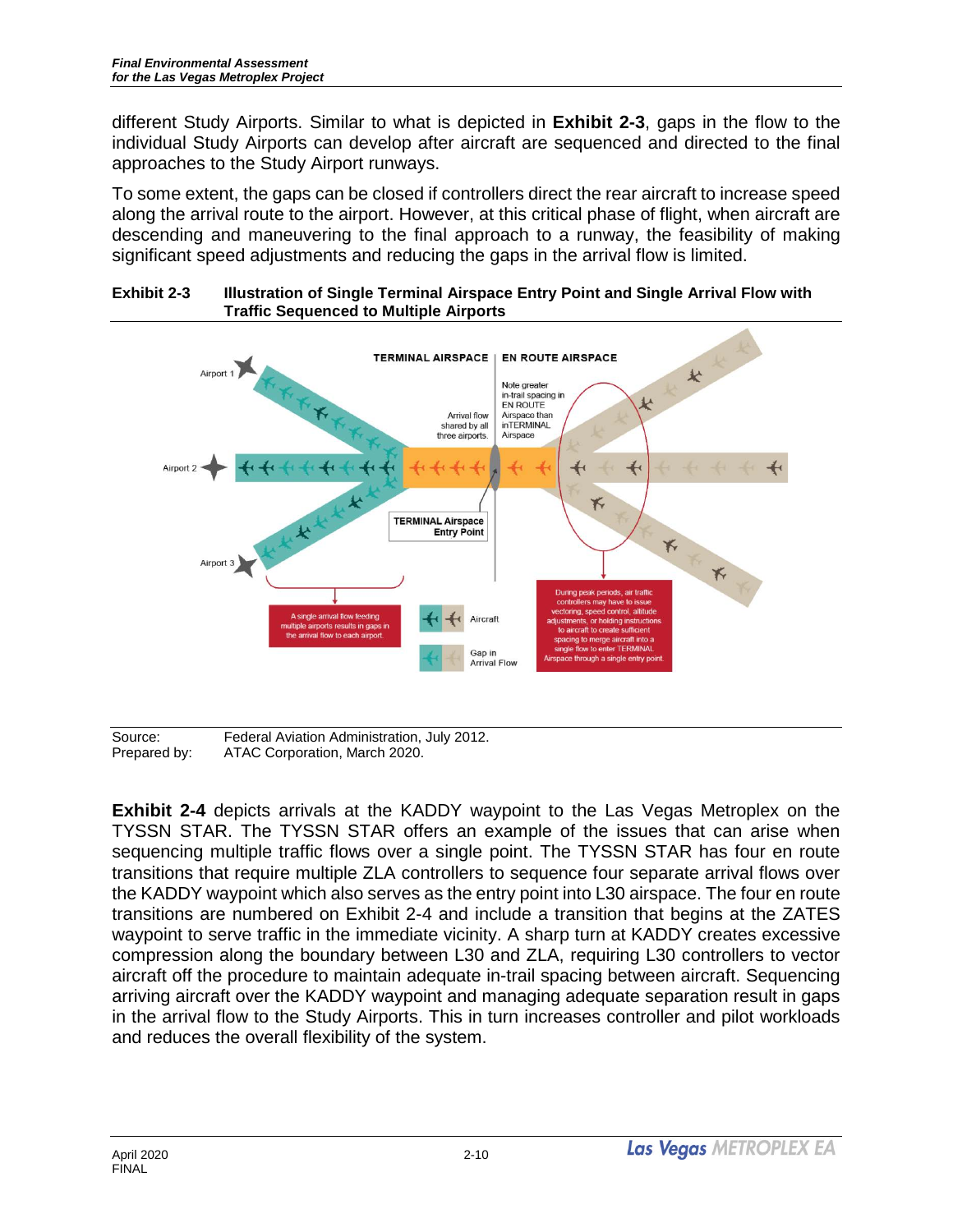different Study Airports. Similar to what is depicted in **Exhibit 2-3**, gaps in the flow to the individual Study Airports can develop after aircraft are sequenced and directed to the final approaches to the Study Airport runways.

To some extent, the gaps can be closed if controllers direct the rear aircraft to increase speed along the arrival route to the airport. However, at this critical phase of flight, when aircraft are descending and maneuvering to the final approach to a runway, the feasibility of making significant speed adjustments and reducing the gaps in the arrival flow is limited.





Source: Federal Aviation Administration, July 2012. Prepared by: ATAC Corporation, March 2020.

**Exhibit 2-4** depicts arrivals at the KADDY waypoint to the Las Vegas Metroplex on the TYSSN STAR. The TYSSN STAR offers an example of the issues that can arise when sequencing multiple traffic flows over a single point. The TYSSN STAR has four en route transitions that require multiple ZLA controllers to sequence four separate arrival flows over the KADDY waypoint which also serves as the entry point into L30 airspace. The four en route transitions are numbered on Exhibit 2-4 and include a transition that begins at the ZATES waypoint to serve traffic in the immediate vicinity. A sharp turn at KADDY creates excessive compression along the boundary between L30 and ZLA, requiring L30 controllers to vector aircraft off the procedure to maintain adequate in-trail spacing between aircraft. Sequencing arriving aircraft over the KADDY waypoint and managing adequate separation result in gaps in the arrival flow to the Study Airports. This in turn increases controller and pilot workloads and reduces the overall flexibility of the system.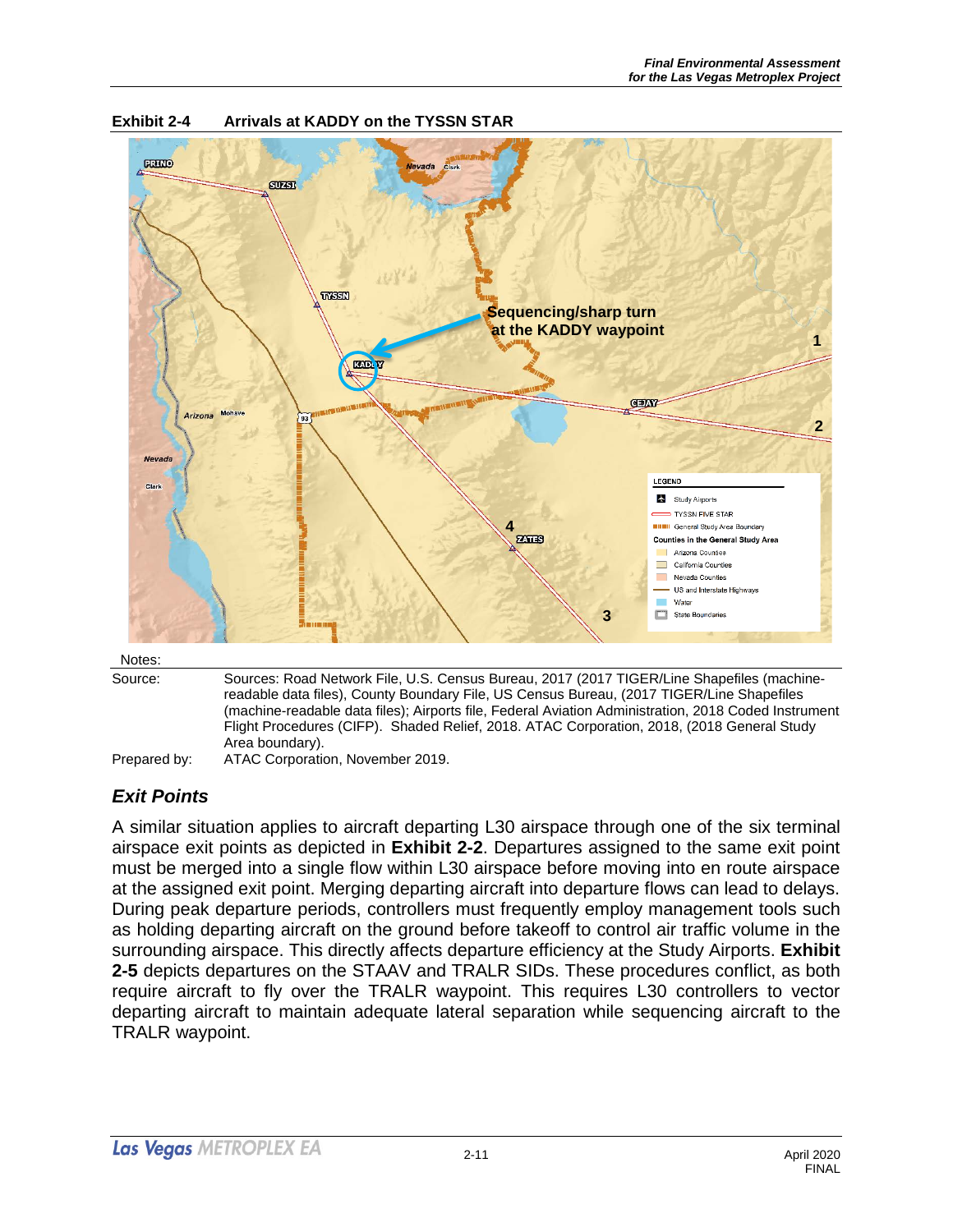

**Exhibit 2-4 Arrivals at KADDY on the TYSSN STAR**

Source: Sources: Road Network File, U.S. Census Bureau, 2017 (2017 TIGER/Line Shapefiles (machinereadable data files), County Boundary File, US Census Bureau, (2017 TIGER/Line Shapefiles (machine-readable data files); Airports file, Federal Aviation Administration, 2018 Coded Instrument Flight Procedures (CIFP). Shaded Relief, 2018. ATAC Corporation, 2018, (2018 General Study Area boundary).

Prepared by: ATAC Corporation, November 2019.

*Exit Points*

A similar situation applies to aircraft departing L30 airspace through one of the six terminal airspace exit points as depicted in **Exhibit 2-2**. Departures assigned to the same exit point must be merged into a single flow within L30 airspace before moving into en route airspace at the assigned exit point. Merging departing aircraft into departure flows can lead to delays. During peak departure periods, controllers must frequently employ management tools such as holding departing aircraft on the ground before takeoff to control air traffic volume in the surrounding airspace. This directly affects departure efficiency at the Study Airports. **Exhibit 2-5** depicts departures on the STAAV and TRALR SIDs. These procedures conflict, as both require aircraft to fly over the TRALR waypoint. This requires L30 controllers to vector departing aircraft to maintain adequate lateral separation while sequencing aircraft to the TRALR waypoint.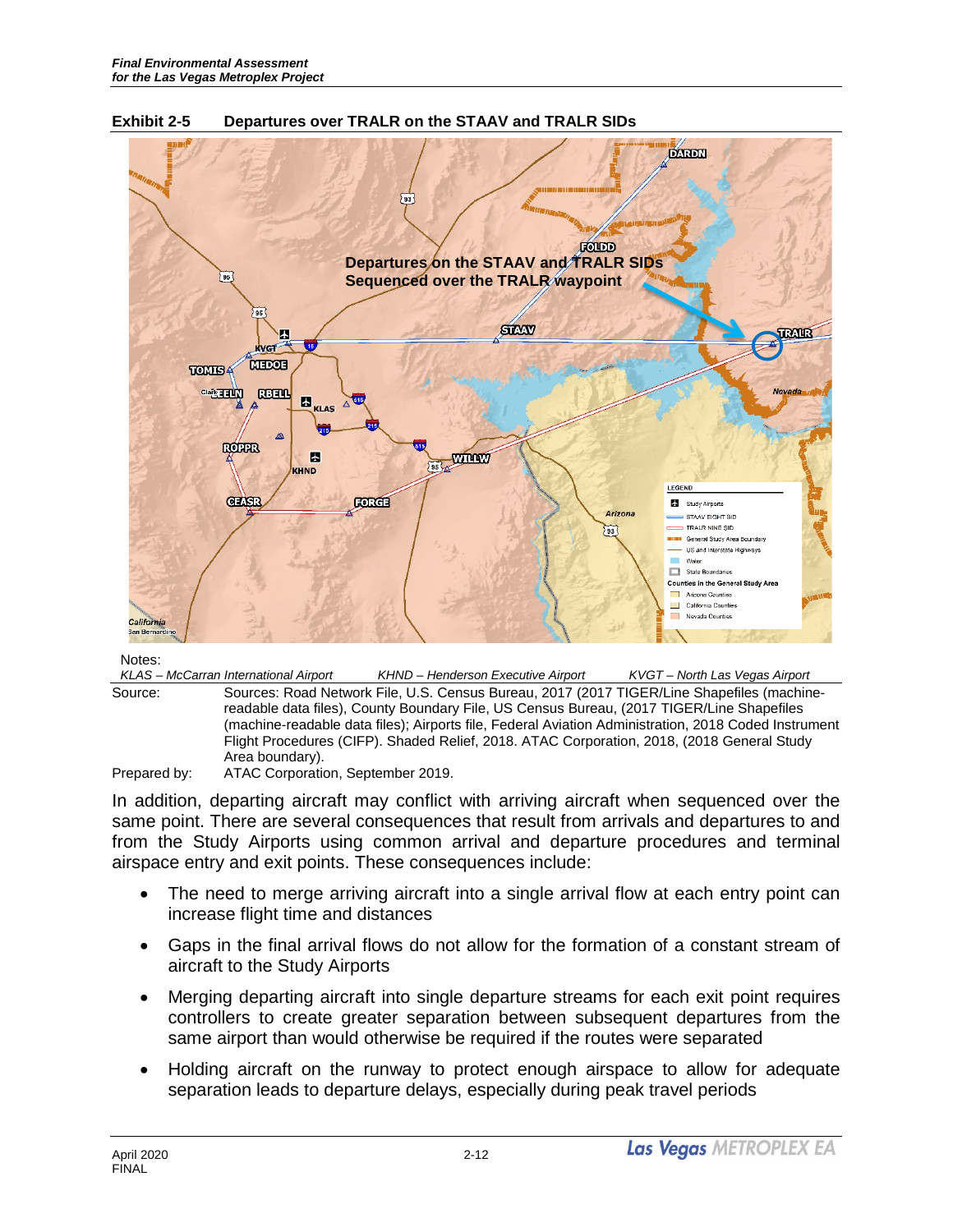



Notes:

*KLAS – McCarran International Airport KHND – Henderson Executive Airport KVGT – North Las Vegas Airport* Source: Sources: Road Network File, U.S. Census Bureau, 2017 (2017 TIGER/Line Shapefiles (machinereadable data files), County Boundary File, US Census Bureau, (2017 TIGER/Line Shapefiles (machine-readable data files); Airports file, Federal Aviation Administration, 2018 Coded Instrument Flight Procedures (CIFP). Shaded Relief, 2018. ATAC Corporation, 2018, (2018 General Study Area boundary).

Prepared by: ATAC Corporation, September 2019.

In addition, departing aircraft may conflict with arriving aircraft when sequenced over the same point. There are several consequences that result from arrivals and departures to and from the Study Airports using common arrival and departure procedures and terminal airspace entry and exit points. These consequences include:

- The need to merge arriving aircraft into a single arrival flow at each entry point can increase flight time and distances
- Gaps in the final arrival flows do not allow for the formation of a constant stream of aircraft to the Study Airports
- Merging departing aircraft into single departure streams for each exit point requires controllers to create greater separation between subsequent departures from the same airport than would otherwise be required if the routes were separated
- Holding aircraft on the runway to protect enough airspace to allow for adequate separation leads to departure delays, especially during peak travel periods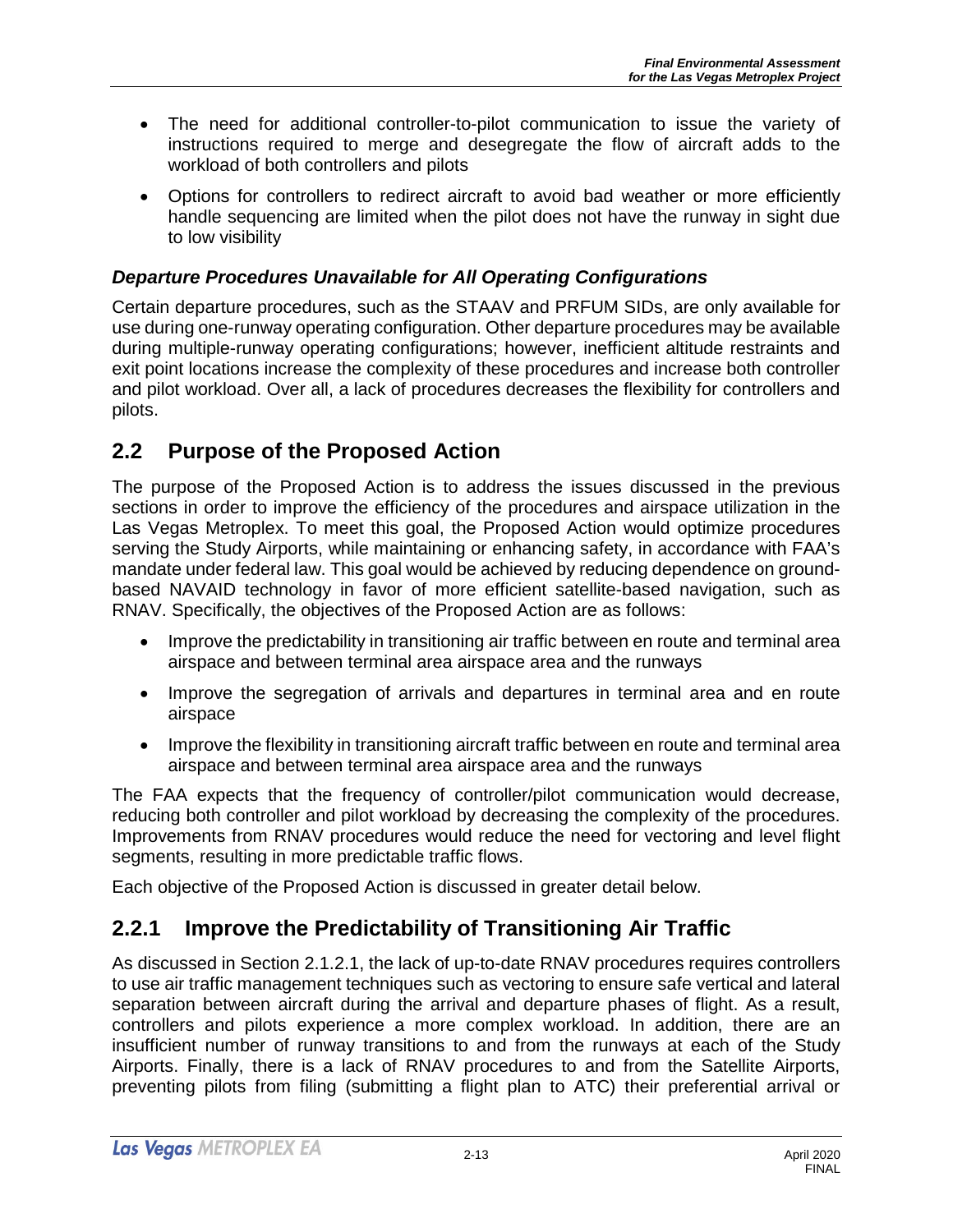- The need for additional controller-to-pilot communication to issue the variety of instructions required to merge and desegregate the flow of aircraft adds to the workload of both controllers and pilots
- Options for controllers to redirect aircraft to avoid bad weather or more efficiently handle sequencing are limited when the pilot does not have the runway in sight due to low visibility

#### *Departure Procedures Unavailable for All Operating Configurations*

Certain departure procedures, such as the STAAV and PRFUM SIDs, are only available for use during one-runway operating configuration. Other departure procedures may be available during multiple-runway operating configurations; however, inefficient altitude restraints and exit point locations increase the complexity of these procedures and increase both controller and pilot workload. Over all, a lack of procedures decreases the flexibility for controllers and pilots.

### **2.2 Purpose of the Proposed Action**

The purpose of the Proposed Action is to address the issues discussed in the previous sections in order to improve the efficiency of the procedures and airspace utilization in the Las Vegas Metroplex. To meet this goal, the Proposed Action would optimize procedures serving the Study Airports, while maintaining or enhancing safety, in accordance with FAA's mandate under federal law. This goal would be achieved by reducing dependence on groundbased NAVAID technology in favor of more efficient satellite-based navigation, such as RNAV. Specifically, the objectives of the Proposed Action are as follows:

- Improve the predictability in transitioning air traffic between en route and terminal area airspace and between terminal area airspace area and the runways
- Improve the segregation of arrivals and departures in terminal area and en route airspace
- Improve the flexibility in transitioning aircraft traffic between en route and terminal area airspace and between terminal area airspace area and the runways

The FAA expects that the frequency of controller/pilot communication would decrease, reducing both controller and pilot workload by decreasing the complexity of the procedures. Improvements from RNAV procedures would reduce the need for vectoring and level flight segments, resulting in more predictable traffic flows.

Each objective of the Proposed Action is discussed in greater detail below.

### **2.2.1 Improve the Predictability of Transitioning Air Traffic**

As discussed in Section 2.1.2.1, the lack of up-to-date RNAV procedures requires controllers to use air traffic management techniques such as vectoring to ensure safe vertical and lateral separation between aircraft during the arrival and departure phases of flight. As a result, controllers and pilots experience a more complex workload. In addition, there are an insufficient number of runway transitions to and from the runways at each of the Study Airports. Finally, there is a lack of RNAV procedures to and from the Satellite Airports, preventing pilots from filing (submitting a flight plan to ATC) their preferential arrival or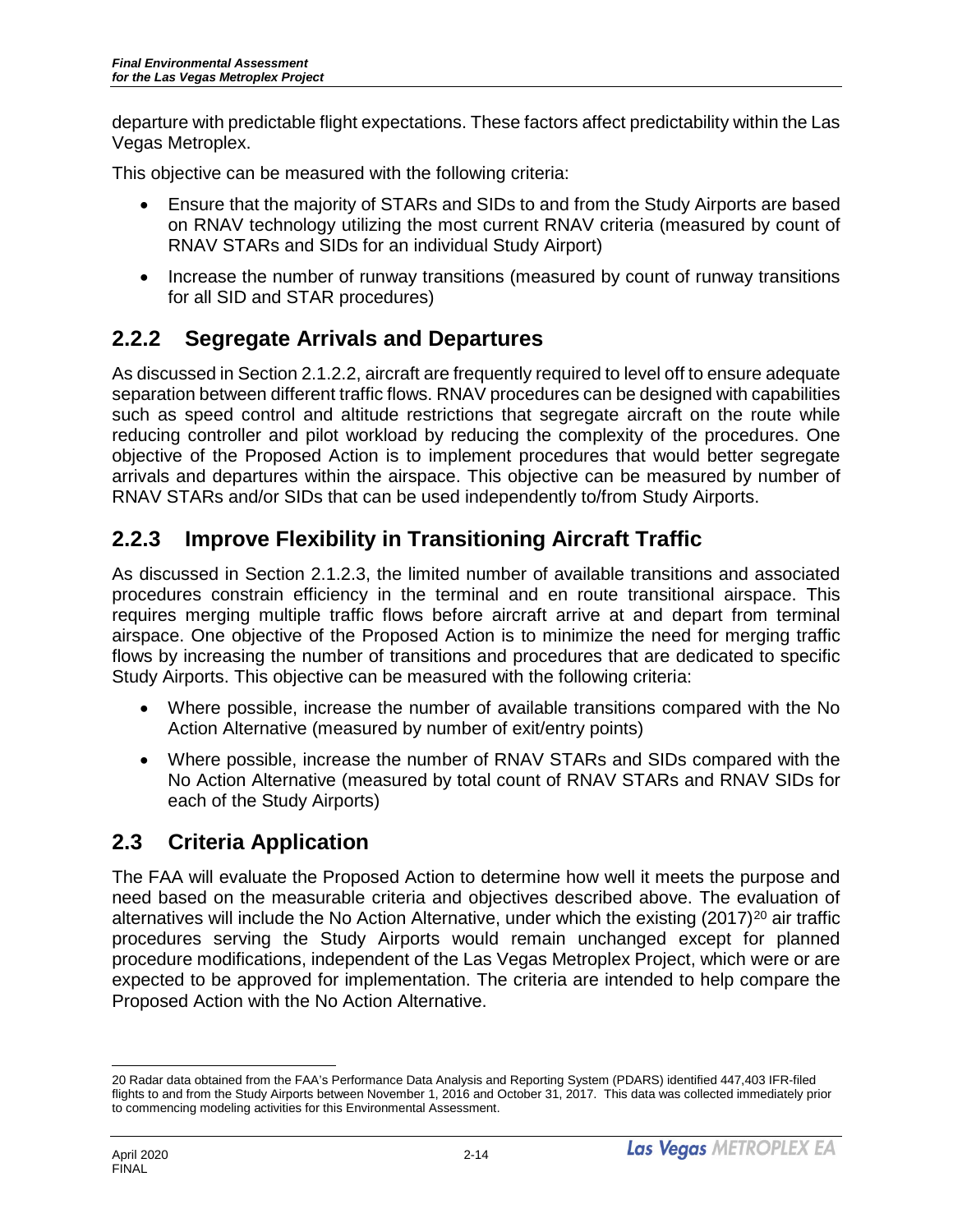departure with predictable flight expectations. These factors affect predictability within the Las Vegas Metroplex.

This objective can be measured with the following criteria:

- Ensure that the majority of STARs and SIDs to and from the Study Airports are based on RNAV technology utilizing the most current RNAV criteria (measured by count of RNAV STARs and SIDs for an individual Study Airport)
- Increase the number of runway transitions (measured by count of runway transitions for all SID and STAR procedures)

## **2.2.2 Segregate Arrivals and Departures**

As discussed in Section 2.1.2.2, aircraft are frequently required to level off to ensure adequate separation between different traffic flows. RNAV procedures can be designed with capabilities such as speed control and altitude restrictions that segregate aircraft on the route while reducing controller and pilot workload by reducing the complexity of the procedures. One objective of the Proposed Action is to implement procedures that would better segregate arrivals and departures within the airspace. This objective can be measured by number of RNAV STARs and/or SIDs that can be used independently to/from Study Airports.

## **2.2.3 Improve Flexibility in Transitioning Aircraft Traffic**

As discussed in Section 2.1.2.3, the limited number of available transitions and associated procedures constrain efficiency in the terminal and en route transitional airspace. This requires merging multiple traffic flows before aircraft arrive at and depart from terminal airspace. One objective of the Proposed Action is to minimize the need for merging traffic flows by increasing the number of transitions and procedures that are dedicated to specific Study Airports. This objective can be measured with the following criteria:

- Where possible, increase the number of available transitions compared with the No Action Alternative (measured by number of exit/entry points)
- Where possible, increase the number of RNAV STARs and SIDs compared with the No Action Alternative (measured by total count of RNAV STARs and RNAV SIDs for each of the Study Airports)

## **2.3 Criteria Application**

The FAA will evaluate the Proposed Action to determine how well it meets the purpose and need based on the measurable criteria and objectives described above. The evaluation of alternatives will include the No Action Alternative, under which the existing  $(2017)^{20}$  $(2017)^{20}$  $(2017)^{20}$  air traffic procedures serving the Study Airports would remain unchanged except for planned procedure modifications, independent of the Las Vegas Metroplex Project, which were or are expected to be approved for implementation. The criteria are intended to help compare the Proposed Action with the No Action Alternative.

<span id="page-13-0"></span> $\overline{a}$ 20 Radar data obtained from the FAA's Performance Data Analysis and Reporting System (PDARS) identified 447,403 IFR-filed flights to and from the Study Airports between November 1, 2016 and October 31, 2017. This data was collected immediately prior to commencing modeling activities for this Environmental Assessment.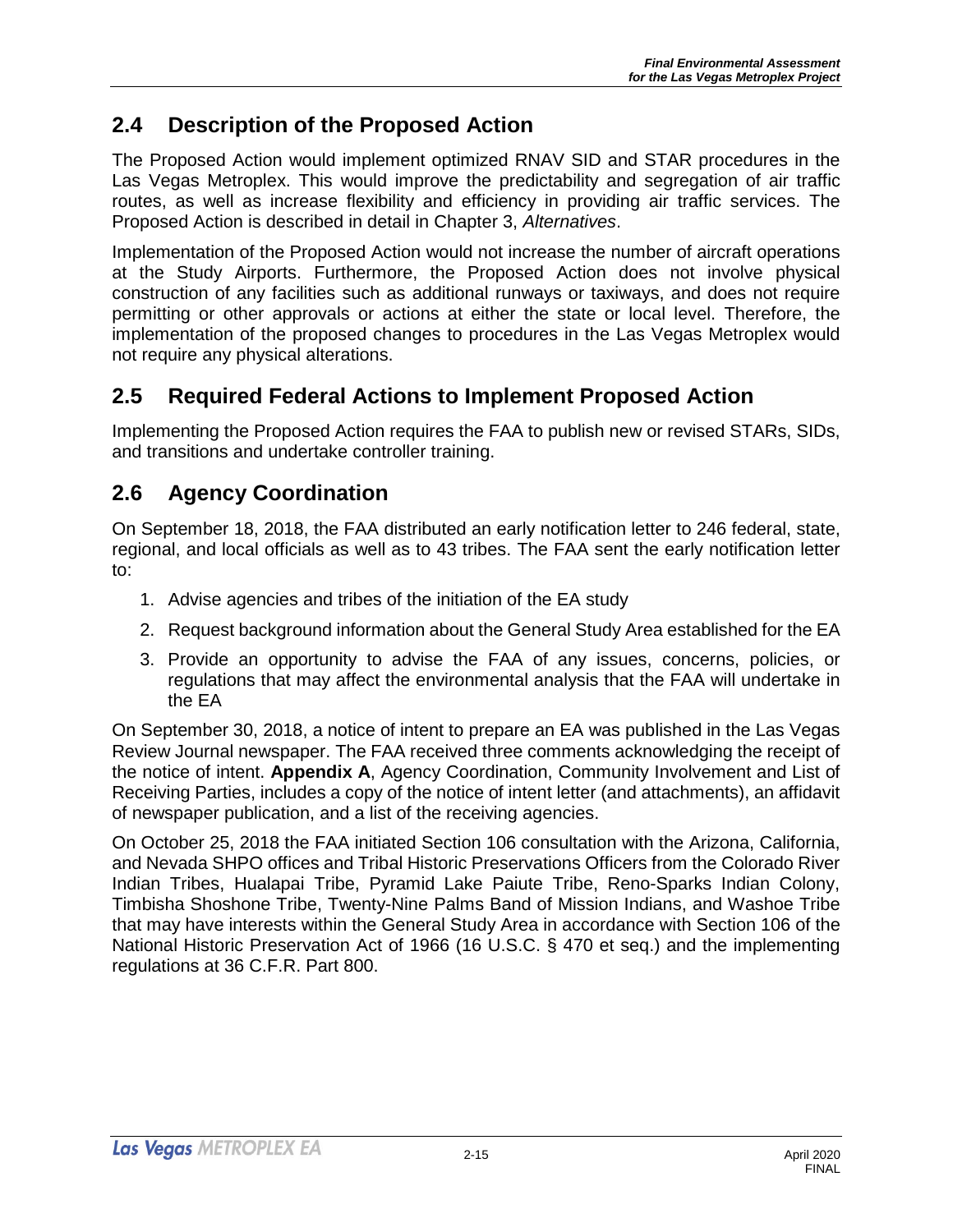### **2.4 Description of the Proposed Action**

The Proposed Action would implement optimized RNAV SID and STAR procedures in the Las Vegas Metroplex. This would improve the predictability and segregation of air traffic routes, as well as increase flexibility and efficiency in providing air traffic services. The Proposed Action is described in detail in Chapter 3, *Alternatives*.

Implementation of the Proposed Action would not increase the number of aircraft operations at the Study Airports. Furthermore, the Proposed Action does not involve physical construction of any facilities such as additional runways or taxiways, and does not require permitting or other approvals or actions at either the state or local level. Therefore, the implementation of the proposed changes to procedures in the Las Vegas Metroplex would not require any physical alterations.

### **2.5 Required Federal Actions to Implement Proposed Action**

Implementing the Proposed Action requires the FAA to publish new or revised STARs, SIDs, and transitions and undertake controller training.

### **2.6 Agency Coordination**

On September 18, 2018, the FAA distributed an early notification letter to 246 federal, state, regional, and local officials as well as to 43 tribes. The FAA sent the early notification letter to:

- 1. Advise agencies and tribes of the initiation of the EA study
- 2. Request background information about the General Study Area established for the EA
- 3. Provide an opportunity to advise the FAA of any issues, concerns, policies, or regulations that may affect the environmental analysis that the FAA will undertake in the EA

On September 30, 2018, a notice of intent to prepare an EA was published in the Las Vegas Review Journal newspaper. The FAA received three comments acknowledging the receipt of the notice of intent. **Appendix A**, Agency Coordination, Community Involvement and List of Receiving Parties, includes a copy of the notice of intent letter (and attachments), an affidavit of newspaper publication, and a list of the receiving agencies.

On October 25, 2018 the FAA initiated Section 106 consultation with the Arizona, California, and Nevada SHPO offices and Tribal Historic Preservations Officers from the Colorado River Indian Tribes, Hualapai Tribe, Pyramid Lake Paiute Tribe, Reno-Sparks Indian Colony, Timbisha Shoshone Tribe, Twenty-Nine Palms Band of Mission Indians, and Washoe Tribe that may have interests within the General Study Area in accordance with Section 106 of the National Historic Preservation Act of 1966 (16 U.S.C. § 470 et seq.) and the implementing regulations at 36 C.F.R. Part 800.